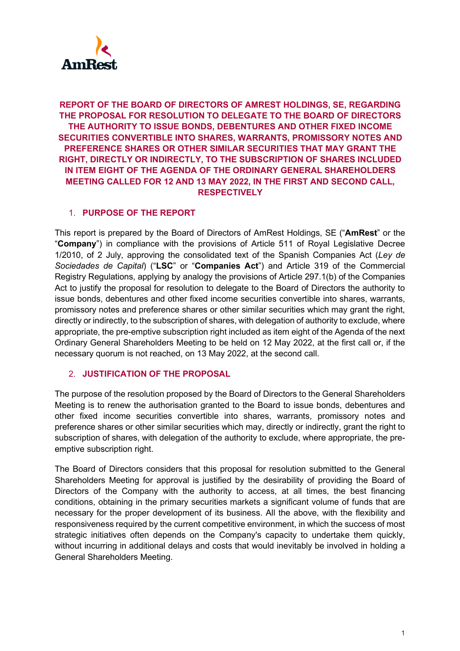

## **REPORT OF THE BOARD OF DIRECTORS OF AMREST HOLDINGS, SE, REGARDING THE PROPOSAL FOR RESOLUTION TO DELEGATE TO THE BOARD OF DIRECTORS THE AUTHORITY TO ISSUE BONDS, DEBENTURES AND OTHER FIXED INCOME SECURITIES CONVERTIBLE INTO SHARES, WARRANTS, PROMISSORY NOTES AND PREFERENCE SHARES OR OTHER SIMILAR SECURITIES THAT MAY GRANT THE RIGHT, DIRECTLY OR INDIRECTLY, TO THE SUBSCRIPTION OF SHARES INCLUDED IN ITEM EIGHT OF THE AGENDA OF THE ORDINARY GENERAL SHAREHOLDERS MEETING CALLED FOR 12 AND 13 MAY 2022, IN THE FIRST AND SECOND CALL, RESPECTIVELY**

## 1. **PURPOSE OF THE REPORT**

This report is prepared by the Board of Directors of AmRest Holdings, SE ("**AmRest**" or the "**Company**") in compliance with the provisions of Article 511 of Royal Legislative Decree 1/2010, of 2 July, approving the consolidated text of the Spanish Companies Act (*Ley de Sociedades de Capital*) ("**LSC**" or "**Companies Act**") and Article 319 of the Commercial Registry Regulations, applying by analogy the provisions of Article 297.1(b) of the Companies Act to justify the proposal for resolution to delegate to the Board of Directors the authority to issue bonds, debentures and other fixed income securities convertible into shares, warrants, promissory notes and preference shares or other similar securities which may grant the right, directly or indirectly, to the subscription of shares, with delegation of authority to exclude, where appropriate, the pre-emptive subscription right included as item eight of the Agenda of the next Ordinary General Shareholders Meeting to be held on 12 May 2022, at the first call or, if the necessary quorum is not reached, on 13 May 2022, at the second call.

## 2. **JUSTIFICATION OF THE PROPOSAL**

The purpose of the resolution proposed by the Board of Directors to the General Shareholders Meeting is to renew the authorisation granted to the Board to issue bonds, debentures and other fixed income securities convertible into shares, warrants, promissory notes and preference shares or other similar securities which may, directly or indirectly, grant the right to subscription of shares, with delegation of the authority to exclude, where appropriate, the preemptive subscription right.

The Board of Directors considers that this proposal for resolution submitted to the General Shareholders Meeting for approval is justified by the desirability of providing the Board of Directors of the Company with the authority to access, at all times, the best financing conditions, obtaining in the primary securities markets a significant volume of funds that are necessary for the proper development of its business. All the above, with the flexibility and responsiveness required by the current competitive environment, in which the success of most strategic initiatives often depends on the Company's capacity to undertake them quickly, without incurring in additional delays and costs that would inevitably be involved in holding a General Shareholders Meeting.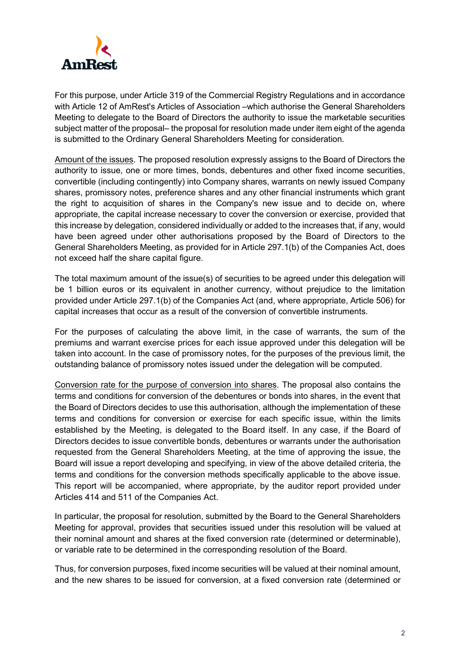

For this purpose, under Article 319 of the Commercial Registry Regulations and in accordance with Article 12 of AmRest's Articles of Association –which authorise the General Shareholders Meeting to delegate to the Board of Directors the authority to issue the marketable securities subject matter of the proposal– the proposal for resolution made under item eight of the agenda is submitted to the Ordinary General Shareholders Meeting for consideration.

Amount of the issues. The proposed resolution expressly assigns to the Board of Directors the authority to issue, one or more times, bonds, debentures and other fixed income securities, convertible (including contingently) into Company shares, warrants on newly issued Company shares, promissory notes, preference shares and any other financial instruments which grant the right to acquisition of shares in the Company's new issue and to decide on, where appropriate, the capital increase necessary to cover the conversion or exercise, provided that this increase by delegation, considered individually or added to the increases that, if any, would have been agreed under other authorisations proposed by the Board of Directors to the General Shareholders Meeting, as provided for in Article 297.1(b) of the Companies Act, does not exceed half the share capital figure.

The total maximum amount of the issue(s) of securities to be agreed under this delegation will be 1 billion euros or its equivalent in another currency, without prejudice to the limitation provided under Article 297.1(b) of the Companies Act (and, where appropriate, Article 506) for capital increases that occur as a result of the conversion of convertible instruments.

For the purposes of calculating the above limit, in the case of warrants, the sum of the premiums and warrant exercise prices for each issue approved under this delegation will be taken into account. In the case of promissory notes, for the purposes of the previous limit, the outstanding balance of promissory notes issued under the delegation will be computed.

Conversion rate for the purpose of conversion into shares. The proposal also contains the terms and conditions for conversion of the debentures or bonds into shares, in the event that the Board of Directors decides to use this authorisation, although the implementation of these terms and conditions for conversion or exercise for each specific issue, within the limits established by the Meeting, is delegated to the Board itself. In any case, if the Board of Directors decides to issue convertible bonds, debentures or warrants under the authorisation requested from the General Shareholders Meeting, at the time of approving the issue, the Board will issue a report developing and specifying, in view of the above detailed criteria, the terms and conditions for the conversion methods specifically applicable to the above issue. This report will be accompanied, where appropriate, by the auditor report provided under Articles 414 and 511 of the Companies Act.

In particular, the proposal for resolution, submitted by the Board to the General Shareholders Meeting for approval, provides that securities issued under this resolution will be valued at their nominal amount and shares at the fixed conversion rate (determined or determinable), or variable rate to be determined in the corresponding resolution of the Board.

Thus, for conversion purposes, fixed income securities will be valued at their nominal amount, and the new shares to be issued for conversion, at a fixed conversion rate (determined or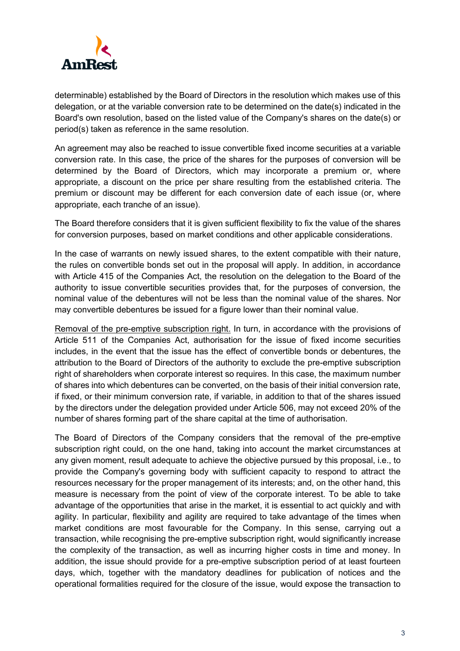

determinable) established by the Board of Directors in the resolution which makes use of this delegation, or at the variable conversion rate to be determined on the date(s) indicated in the Board's own resolution, based on the listed value of the Company's shares on the date(s) or period(s) taken as reference in the same resolution.

An agreement may also be reached to issue convertible fixed income securities at a variable conversion rate. In this case, the price of the shares for the purposes of conversion will be determined by the Board of Directors, which may incorporate a premium or, where appropriate, a discount on the price per share resulting from the established criteria. The premium or discount may be different for each conversion date of each issue (or, where appropriate, each tranche of an issue).

The Board therefore considers that it is given sufficient flexibility to fix the value of the shares for conversion purposes, based on market conditions and other applicable considerations.

In the case of warrants on newly issued shares, to the extent compatible with their nature, the rules on convertible bonds set out in the proposal will apply. In addition, in accordance with Article 415 of the Companies Act, the resolution on the delegation to the Board of the authority to issue convertible securities provides that, for the purposes of conversion, the nominal value of the debentures will not be less than the nominal value of the shares. Nor may convertible debentures be issued for a figure lower than their nominal value.

Removal of the pre-emptive subscription right. In turn, in accordance with the provisions of Article 511 of the Companies Act, authorisation for the issue of fixed income securities includes, in the event that the issue has the effect of convertible bonds or debentures, the attribution to the Board of Directors of the authority to exclude the pre-emptive subscription right of shareholders when corporate interest so requires. In this case, the maximum number of shares into which debentures can be converted, on the basis of their initial conversion rate, if fixed, or their minimum conversion rate, if variable, in addition to that of the shares issued by the directors under the delegation provided under Article 506, may not exceed 20% of the number of shares forming part of the share capital at the time of authorisation.

The Board of Directors of the Company considers that the removal of the pre-emptive subscription right could, on the one hand, taking into account the market circumstances at any given moment, result adequate to achieve the objective pursued by this proposal, i.e., to provide the Company's governing body with sufficient capacity to respond to attract the resources necessary for the proper management of its interests; and, on the other hand, this measure is necessary from the point of view of the corporate interest. To be able to take advantage of the opportunities that arise in the market, it is essential to act quickly and with agility. In particular, flexibility and agility are required to take advantage of the times when market conditions are most favourable for the Company. In this sense, carrying out a transaction, while recognising the pre-emptive subscription right, would significantly increase the complexity of the transaction, as well as incurring higher costs in time and money. In addition, the issue should provide for a pre-emptive subscription period of at least fourteen days, which, together with the mandatory deadlines for publication of notices and the operational formalities required for the closure of the issue, would expose the transaction to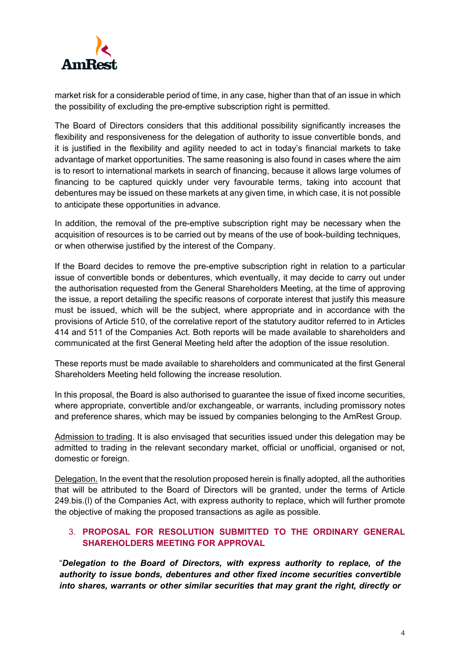

market risk for a considerable period of time, in any case, higher than that of an issue in which the possibility of excluding the pre-emptive subscription right is permitted.

The Board of Directors considers that this additional possibility significantly increases the flexibility and responsiveness for the delegation of authority to issue convertible bonds, and it is justified in the flexibility and agility needed to act in today's financial markets to take advantage of market opportunities. The same reasoning is also found in cases where the aim is to resort to international markets in search of financing, because it allows large volumes of financing to be captured quickly under very favourable terms, taking into account that debentures may be issued on these markets at any given time, in which case, it is not possible to anticipate these opportunities in advance.

In addition, the removal of the pre-emptive subscription right may be necessary when the acquisition of resources is to be carried out by means of the use of book-building techniques, or when otherwise justified by the interest of the Company.

If the Board decides to remove the pre-emptive subscription right in relation to a particular issue of convertible bonds or debentures, which eventually, it may decide to carry out under the authorisation requested from the General Shareholders Meeting, at the time of approving the issue, a report detailing the specific reasons of corporate interest that justify this measure must be issued, which will be the subject, where appropriate and in accordance with the provisions of Article 510, of the correlative report of the statutory auditor referred to in Articles 414 and 511 of the Companies Act. Both reports will be made available to shareholders and communicated at the first General Meeting held after the adoption of the issue resolution.

These reports must be made available to shareholders and communicated at the first General Shareholders Meeting held following the increase resolution.

In this proposal, the Board is also authorised to guarantee the issue of fixed income securities, where appropriate, convertible and/or exchangeable, or warrants, including promissory notes and preference shares, which may be issued by companies belonging to the AmRest Group.

Admission to trading. It is also envisaged that securities issued under this delegation may be admitted to trading in the relevant secondary market, official or unofficial, organised or not, domestic or foreign.

Delegation. In the event that the resolution proposed herein is finally adopted, all the authorities that will be attributed to the Board of Directors will be granted, under the terms of Article 249.bis.(l) of the Companies Act, with express authority to replace, which will further promote the objective of making the proposed transactions as agile as possible.

## 3. **PROPOSAL FOR RESOLUTION SUBMITTED TO THE ORDINARY GENERAL SHAREHOLDERS MEETING FOR APPROVAL**

"*Delegation to the Board of Directors, with express authority to replace, of the authority to issue bonds, debentures and other fixed income securities convertible into shares, warrants or other similar securities that may grant the right, directly or*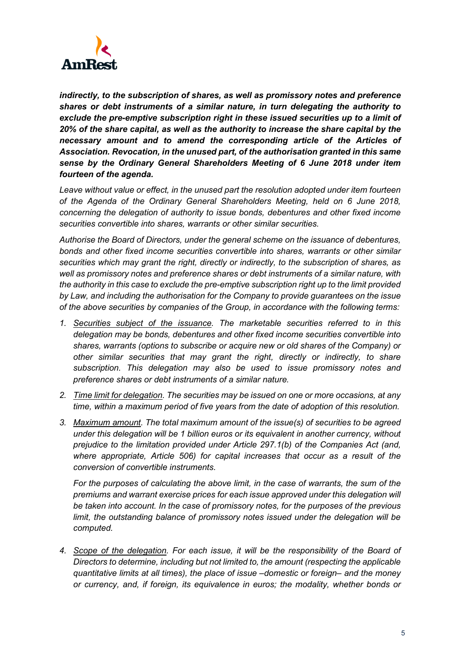

*indirectly, to the subscription of shares, as well as promissory notes and preference shares or debt instruments of a similar nature, in turn delegating the authority to exclude the pre-emptive subscription right in these issued securities up to a limit of 20% of the share capital, as well as the authority to increase the share capital by the necessary amount and to amend the corresponding article of the Articles of Association. Revocation, in the unused part, of the authorisation granted in this same sense by the Ordinary General Shareholders Meeting of 6 June 2018 under item fourteen of the agenda.*

*Leave without value or effect, in the unused part the resolution adopted under item fourteen of the Agenda of the Ordinary General Shareholders Meeting, held on 6 June 2018, concerning the delegation of authority to issue bonds, debentures and other fixed income securities convertible into shares, warrants or other similar securities.*

*Authorise the Board of Directors, under the general scheme on the issuance of debentures, bonds and other fixed income securities convertible into shares, warrants or other similar securities which may grant the right, directly or indirectly, to the subscription of shares, as well as promissory notes and preference shares or debt instruments of a similar nature, with the authority in this case to exclude the pre-emptive subscription right up to the limit provided by Law, and including the authorisation for the Company to provide guarantees on the issue of the above securities by companies of the Group, in accordance with the following terms:*

- *1. Securities subject of the issuance. The marketable securities referred to in this delegation may be bonds, debentures and other fixed income securities convertible into shares, warrants (options to subscribe or acquire new or old shares of the Company) or other similar securities that may grant the right, directly or indirectly, to share subscription. This delegation may also be used to issue promissory notes and preference shares or debt instruments of a similar nature.*
- *2. Time limit for delegation. The securities may be issued on one or more occasions, at any time, within a maximum period of five years from the date of adoption of this resolution.*
- *3. Maximum amount. The total maximum amount of the issue(s) of securities to be agreed under this delegation will be 1 billion euros or its equivalent in another currency, without prejudice to the limitation provided under Article 297.1(b) of the Companies Act (and, where appropriate, Article 506) for capital increases that occur as a result of the conversion of convertible instruments.*

*For the purposes of calculating the above limit, in the case of warrants, the sum of the premiums and warrant exercise prices for each issue approved under this delegation will be taken into account. In the case of promissory notes, for the purposes of the previous limit, the outstanding balance of promissory notes issued under the delegation will be computed.*

*4. Scope of the delegation. For each issue, it will be the responsibility of the Board of Directors to determine, including but not limited to, the amount (respecting the applicable quantitative limits at all times), the place of issue –domestic or foreign– and the money or currency, and, if foreign, its equivalence in euros; the modality, whether bonds or*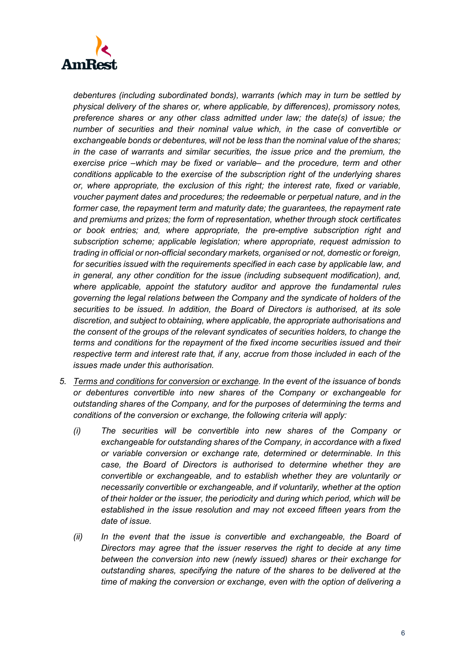

*debentures (including subordinated bonds), warrants (which may in turn be settled by physical delivery of the shares or, where applicable, by differences), promissory notes, preference shares or any other class admitted under law; the date(s) of issue; the number of securities and their nominal value which, in the case of convertible or exchangeable bonds or debentures, will not be less than the nominal value of the shares; in the case of warrants and similar securities, the issue price and the premium, the exercise price –which may be fixed or variable– and the procedure, term and other conditions applicable to the exercise of the subscription right of the underlying shares or, where appropriate, the exclusion of this right; the interest rate, fixed or variable, voucher payment dates and procedures; the redeemable or perpetual nature, and in the former case, the repayment term and maturity date; the guarantees, the repayment rate and premiums and prizes; the form of representation, whether through stock certificates or book entries; and, where appropriate, the pre-emptive subscription right and subscription scheme; applicable legislation; where appropriate, request admission to trading in official or non-official secondary markets, organised or not, domestic or foreign, for securities issued with the requirements specified in each case by applicable law, and in general, any other condition for the issue (including subsequent modification), and, where applicable, appoint the statutory auditor and approve the fundamental rules governing the legal relations between the Company and the syndicate of holders of the securities to be issued. In addition, the Board of Directors is authorised, at its sole discretion, and subject to obtaining, where applicable, the appropriate authorisations and the consent of the groups of the relevant syndicates of securities holders, to change the terms and conditions for the repayment of the fixed income securities issued and their respective term and interest rate that, if any, accrue from those included in each of the issues made under this authorisation.* 

- *5. Terms and conditions for conversion or exchange. In the event of the issuance of bonds or debentures convertible into new shares of the Company or exchangeable for outstanding shares of the Company, and for the purposes of determining the terms and conditions of the conversion or exchange, the following criteria will apply:* 
	- *(i) The securities will be convertible into new shares of the Company or exchangeable for outstanding shares of the Company, in accordance with a fixed or variable conversion or exchange rate, determined or determinable. In this case, the Board of Directors is authorised to determine whether they are convertible or exchangeable, and to establish whether they are voluntarily or necessarily convertible or exchangeable, and if voluntarily, whether at the option of their holder or the issuer, the periodicity and during which period, which will be established in the issue resolution and may not exceed fifteen years from the date of issue.*
	- *(ii) In the event that the issue is convertible and exchangeable, the Board of Directors may agree that the issuer reserves the right to decide at any time between the conversion into new (newly issued) shares or their exchange for outstanding shares, specifying the nature of the shares to be delivered at the time of making the conversion or exchange, even with the option of delivering a*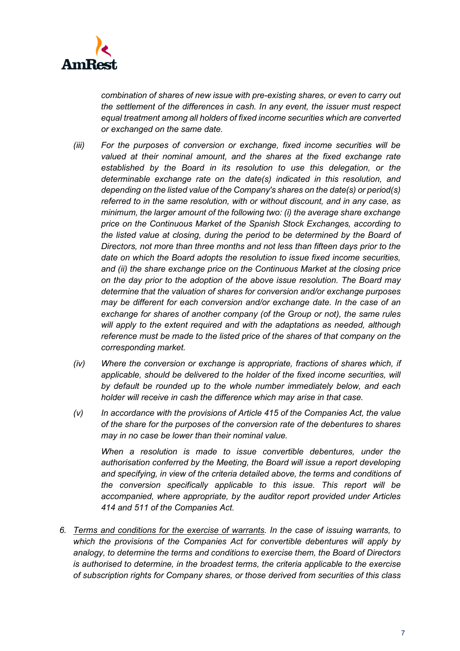

*combination of shares of new issue with pre-existing shares, or even to carry out the settlement of the differences in cash. In any event, the issuer must respect equal treatment among all holders of fixed income securities which are converted or exchanged on the same date.* 

- *(iii) For the purposes of conversion or exchange, fixed income securities will be valued at their nominal amount, and the shares at the fixed exchange rate established by the Board in its resolution to use this delegation, or the determinable exchange rate on the date(s) indicated in this resolution, and depending on the listed value of the Company's shares on the date(s) or period(s) referred to in the same resolution, with or without discount, and in any case, as minimum, the larger amount of the following two: (i) the average share exchange price on the Continuous Market of the Spanish Stock Exchanges, according to the listed value at closing, during the period to be determined by the Board of Directors, not more than three months and not less than fifteen days prior to the date on which the Board adopts the resolution to issue fixed income securities, and (ii) the share exchange price on the Continuous Market at the closing price on the day prior to the adoption of the above issue resolution. The Board may determine that the valuation of shares for conversion and/or exchange purposes may be different for each conversion and/or exchange date. In the case of an exchange for shares of another company (of the Group or not), the same rules*  will apply to the extent required and with the adaptations as needed, although *reference must be made to the listed price of the shares of that company on the corresponding market.*
- *(iv) Where the conversion or exchange is appropriate, fractions of shares which, if*  applicable, should be delivered to the holder of the fixed income securities, will *by default be rounded up to the whole number immediately below, and each holder will receive in cash the difference which may arise in that case.*
- *(v) In accordance with the provisions of Article 415 of the Companies Act, the value of the share for the purposes of the conversion rate of the debentures to shares may in no case be lower than their nominal value.*

*When a resolution is made to issue convertible debentures, under the authorisation conferred by the Meeting, the Board will issue a report developing and specifying, in view of the criteria detailed above, the terms and conditions of the conversion specifically applicable to this issue. This report will be accompanied, where appropriate, by the auditor report provided under Articles 414 and 511 of the Companies Act.*

*6. Terms and conditions for the exercise of warrants. In the case of issuing warrants, to which the provisions of the Companies Act for convertible debentures will apply by analogy, to determine the terms and conditions to exercise them, the Board of Directors is authorised to determine, in the broadest terms, the criteria applicable to the exercise of subscription rights for Company shares, or those derived from securities of this class*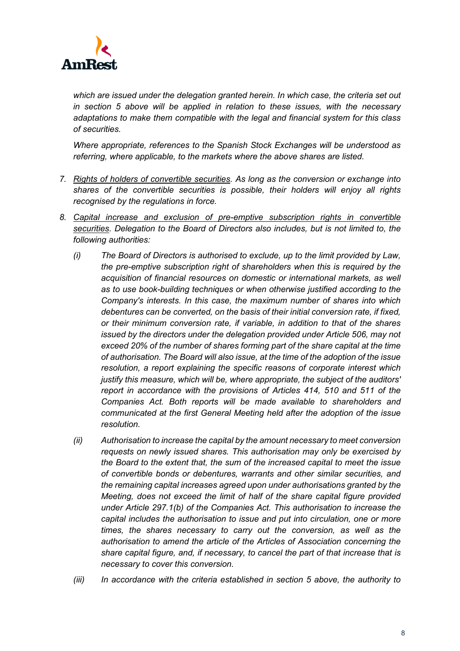

*which are issued under the delegation granted herein. In which case, the criteria set out in section 5 above will be applied in relation to these issues, with the necessary adaptations to make them compatible with the legal and financial system for this class of securities.* 

*Where appropriate, references to the Spanish Stock Exchanges will be understood as referring, where applicable, to the markets where the above shares are listed.*

- *7. Rights of holders of convertible securities. As long as the conversion or exchange into shares of the convertible securities is possible, their holders will enjoy all rights recognised by the regulations in force.*
- *8. Capital increase and exclusion of pre-emptive subscription rights in convertible securities. Delegation to the Board of Directors also includes, but is not limited to, the following authorities:* 
	- *(i) The Board of Directors is authorised to exclude, up to the limit provided by Law, the pre-emptive subscription right of shareholders when this is required by the acquisition of financial resources on domestic or international markets, as well as to use book-building techniques or when otherwise justified according to the Company's interests. In this case, the maximum number of shares into which debentures can be converted, on the basis of their initial conversion rate, if fixed, or their minimum conversion rate, if variable, in addition to that of the shares issued by the directors under the delegation provided under Article 506, may not exceed 20% of the number of shares forming part of the share capital at the time of authorisation. The Board will also issue, at the time of the adoption of the issue resolution, a report explaining the specific reasons of corporate interest which justify this measure, which will be, where appropriate, the subject of the auditors' report in accordance with the provisions of Articles 414, 510 and 511 of the Companies Act. Both reports will be made available to shareholders and communicated at the first General Meeting held after the adoption of the issue resolution.*
	- *(ii) Authorisation to increase the capital by the amount necessary to meet conversion requests on newly issued shares. This authorisation may only be exercised by the Board to the extent that, the sum of the increased capital to meet the issue of convertible bonds or debentures, warrants and other similar securities, and the remaining capital increases agreed upon under authorisations granted by the Meeting, does not exceed the limit of half of the share capital figure provided under Article 297.1(b) of the Companies Act. This authorisation to increase the capital includes the authorisation to issue and put into circulation, one or more times, the shares necessary to carry out the conversion, as well as the authorisation to amend the article of the Articles of Association concerning the share capital figure, and, if necessary, to cancel the part of that increase that is necessary to cover this conversion.*
	- *(iii) In accordance with the criteria established in section 5 above, the authority to*